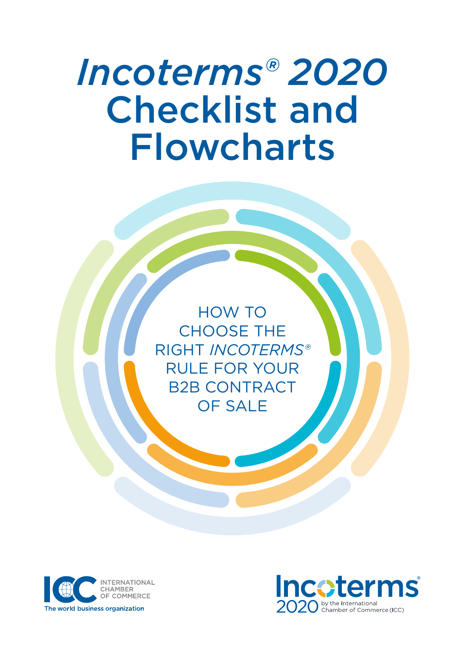# *Incoterms® 2020* Checklist and Flowcharts

HOW TO CHOOSE THE RIGHT *INCOTERMS®* RULE FOR YOUR B2B CONTRACT OF SALE



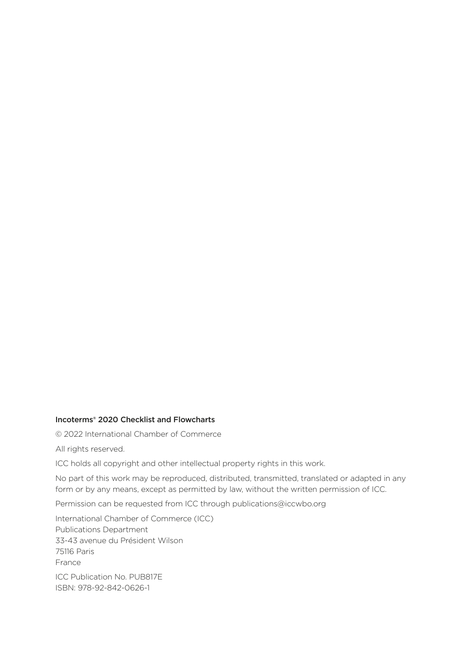#### Incoterms® 2020 Checklist and Flowcharts

© 2022 International Chamber of Commerce

All rights reserved.

ICC holds all copyright and other intellectual property rights in this work.

No part of this work may be reproduced, distributed, transmitted, translated or adapted in any form or by any means, except as permitted by law, without the written permission of ICC.

Permission can be requested from ICC through [publications@iccwbo.org](mailto:publications@iccwbo.org)

International Chamber of Commerce (ICC) Publications Department 33-43 avenue du Président Wilson 75116 Paris France ICC Publication No. PUB817E

ISBN: 978-92-842-0626-1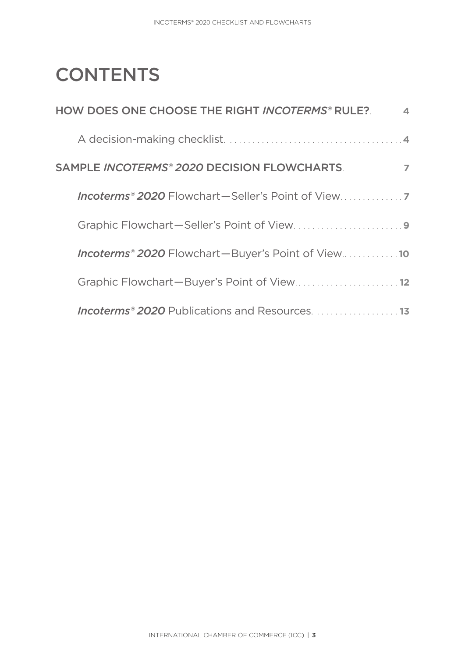# **CONTENTS**

| HOW DOES ONE CHOOSE THE RIGHT INCOTERMS® RULE?<br>4                 |
|---------------------------------------------------------------------|
|                                                                     |
| SAMPLE INCOTERMS® 2020 DECISION FLOWCHARTS.<br>7                    |
| <b>Incoterms<sup>®</sup> 2020</b> Flowchart-Seller's Point of View  |
| Graphic Flowchart-Seller's Point of View9                           |
| <b>Incoterms<sup>®</sup> 2020</b> Flowchart-Buyer's Point of View10 |
|                                                                     |
| Incoterms <sup>®</sup> 2020 Publications and Resources.  13         |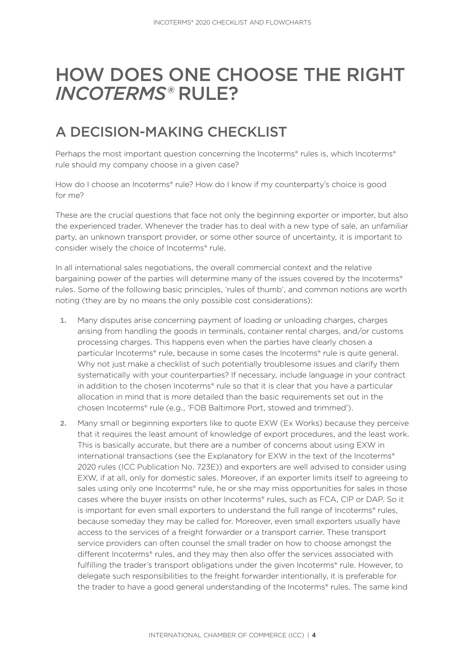# <span id="page-3-0"></span>HOW DOES ONE CHOOSE THE RIGHT *INCOTERMS®* RULE?

# A DECISION-MAKING CHECKLIST

Perhaps the most important question concerning the Incoterms® rules is, which Incoterms® rule should my company choose in a given case?

How do I choose an Incoterms® rule? How do I know if my counterparty's choice is good for me?

These are the crucial questions that face not only the beginning exporter or importer, but also the experienced trader. Whenever the trader has to deal with a new type of sale, an unfamiliar party, an unknown transport provider, or some other source of uncertainty, it is important to consider wisely the choice of Incoterms® rule.

In all international sales negotiations, the overall commercial context and the relative bargaining power of the parties will determine many of the issues covered by the Incoterms® rules. Some of the following basic principles, 'rules of thumb', and common notions are worth noting (they are by no means the only possible cost considerations):

- **1.** Many disputes arise concerning payment of loading or unloading charges, charges arising from handling the goods in terminals, container rental charges, and/or customs processing charges. This happens even when the parties have clearly chosen a particular Incoterms® rule, because in some cases the Incoterms® rule is quite general. Why not just make a checklist of such potentially troublesome issues and clarify them systematically with your counterparties? If necessary, include language in your contract in addition to the chosen Incoterms® rule so that it is clear that you have a particular allocation in mind that is more detailed than the basic requirements set out in the chosen Incoterms® rule (e.g., 'FOB Baltimore Port, stowed and trimmed').
- **2.** Many small or beginning exporters like to quote EXW (Ex Works) because they perceive that it requires the least amount of knowledge of export procedures, and the least work. This is basically accurate, but there are a number of concerns about using EXW in international transactions (see the Explanatory for EXW in the text of the Incoterms® 2020 rules (ICC Publication No. 723E)) and exporters are well advised to consider using EXW, if at all, only for domestic sales. Moreover, if an exporter limits itself to agreeing to sales using only one Incoterms® rule, he or she may miss opportunities for sales in those cases where the buyer insists on other Incoterms® rules, such as FCA, CIP or DAP. So it is important for even small exporters to understand the full range of Incoterms® rules, because someday they may be called for. Moreover, even small exporters usually have access to the services of a freight forwarder or a transport carrier. These transport service providers can often counsel the small trader on how to choose amongst the different Incoterms® rules, and they may then also offer the services associated with fulfilling the trader's transport obligations under the given Incoterms® rule. However, to delegate such responsibilities to the freight forwarder intentionally, it is preferable for the trader to have a good general understanding of the Incoterms® rules. The same kind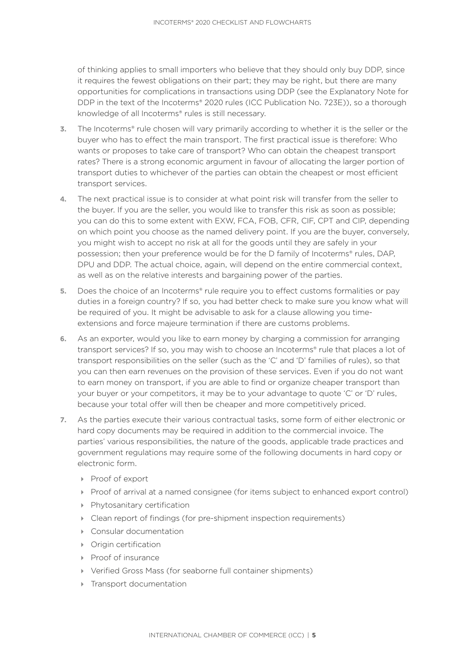of thinking applies to small importers who believe that they should only buy DDP, since it requires the fewest obligations on their part; they may be right, but there are many opportunities for complications in transactions using DDP (see the Explanatory Note for DDP in the text of the Incoterms® 2020 rules (ICC Publication No. 723E)), so a thorough knowledge of all Incoterms® rules is still necessary.

- **3.** The Incoterms<sup>®</sup> rule chosen will vary primarily according to whether it is the seller or the buyer who has to effect the main transport. The first practical issue is therefore: Who wants or proposes to take care of transport? Who can obtain the cheapest transport rates? There is a strong economic argument in favour of allocating the larger portion of transport duties to whichever of the parties can obtain the cheapest or most efficient transport services.
- **4.**  The next practical issue is to consider at what point risk will transfer from the seller to the buyer. If you are the seller, you would like to transfer this risk as soon as possible; you can do this to some extent with EXW, FCA, FOB, CFR, CIF, CPT and CIP, depending on which point you choose as the named delivery point. If you are the buyer, conversely, you might wish to accept no risk at all for the goods until they are safely in your possession; then your preference would be for the D family of Incoterms® rules, DAP, DPU and DDP. The actual choice, again, will depend on the entire commercial context, as well as on the relative interests and bargaining power of the parties.
- **5.** Does the choice of an Incoterms<sup>®</sup> rule require you to effect customs formalities or pay duties in a foreign country? If so, you had better check to make sure you know what will be required of you. It might be advisable to ask for a clause allowing you timeextensions and force majeure termination if there are customs problems.
- **6.** As an exporter, would you like to earn money by charging a commission for arranging transport services? If so, you may wish to choose an Incoterms® rule that places a lot of transport responsibilities on the seller (such as the 'C' and 'D' families of rules), so that you can then earn revenues on the provision of these services. Even if you do not want to earn money on transport, if you are able to find or organize cheaper transport than your buyer or your competitors, it may be to your advantage to quote 'C' or 'D' rules, because your total offer will then be cheaper and more competitively priced.
- **7.** As the parties execute their various contractual tasks, some form of either electronic or hard copy documents may be required in addition to the commercial invoice. The parties' various responsibilities, the nature of the goods, applicable trade practices and government regulations may require some of the following documents in hard copy or electronic form.
	- ▶ Proof of export
	- ▶ Proof of arrival at a named consignee (for items subject to enhanced export control)
	- **>** Phytosanitary certification
	- Clean report of findings (for pre-shipment inspection requirements)
	- $\blacktriangleright$  Consular documentation
	- $\triangleright$  Origin certification
	- ▶ Proof of insurance
	- **Verified Gross Mass (for seaborne full container shipments)**
	- $\triangleright$  Transport documentation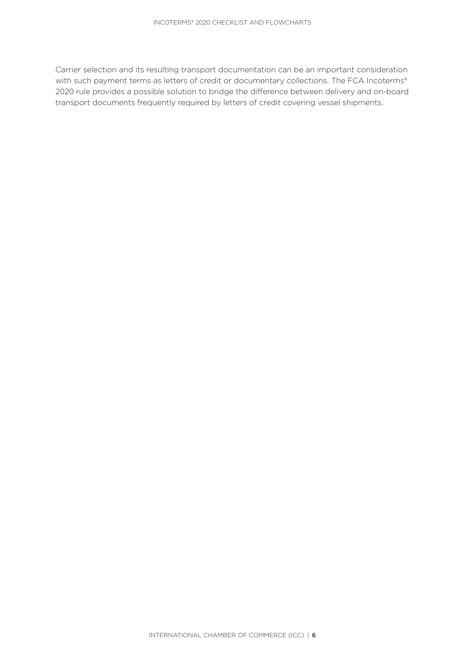Carrier selection and its resulting transport documentation can be an important consideration with such payment terms as letters of credit or documentary collections. The FCA Incoterms® 2020 rule provides a possible solution to bridge the difference between delivery and on-board transport documents frequently required by letters of credit covering vessel shipments.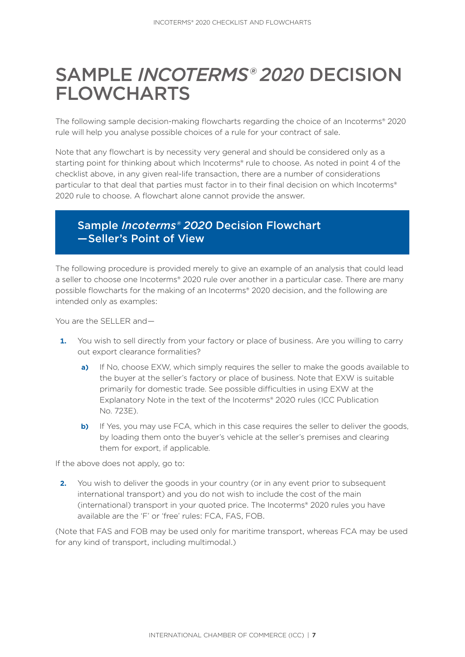# <span id="page-6-0"></span>SAMPLE *INCOTERMS® 2020* DECISION FLOWCHARTS

The following sample decision-making flowcharts regarding the choice of an Incoterms® 2020 rule will help you analyse possible choices of a rule for your contract of sale.

Note that any flowchart is by necessity very general and should be considered only as a starting point for thinking about which Incoterms® rule to choose. As noted in point 4 of the checklist above, in any given real-life transaction, there are a number of considerations particular to that deal that parties must factor in to their final decision on which Incoterms® 2020 rule to choose. A flowchart alone cannot provide the answer.

# Sample *Incoterms® 2020* Decision Flowchart  — Seller's Point of View

The following procedure is provided merely to give an example of an analysis that could lead a seller to choose one Incoterms® 2020 rule over another in a particular case. There are many possible flowcharts for the making of an Incoterms® 2020 decision, and the following are intended only as examples:

You are the SELLER and—

- **1.** You wish to sell directly from your factory or place of business. Are you willing to carry out export clearance formalities?
	- **a)** If No, choose EXW, which simply requires the seller to make the goods available to the buyer at the seller's factory or place of business. Note that EXW is suitable primarily for domestic trade. See possible difficulties in using EXW at the Explanatory Note in the text of the Incoterms® 2020 rules (ICC Publication No. 723E).
	- **b)** If Yes, you may use FCA, which in this case requires the seller to deliver the goods, by loading them onto the buyer's vehicle at the seller's premises and clearing them for export, if applicable.

If the above does not apply, go to:

**2.** You wish to deliver the goods in your country (or in any event prior to subsequent international transport) and you do not wish to include the cost of the main (international) transport in your quoted price. The Incoterms® 2020 rules you have available are the 'F' or 'free' rules: FCA, FAS, FOB.

(Note that FAS and FOB may be used only for maritime transport, whereas FCA may be used for any kind of transport, including multimodal.)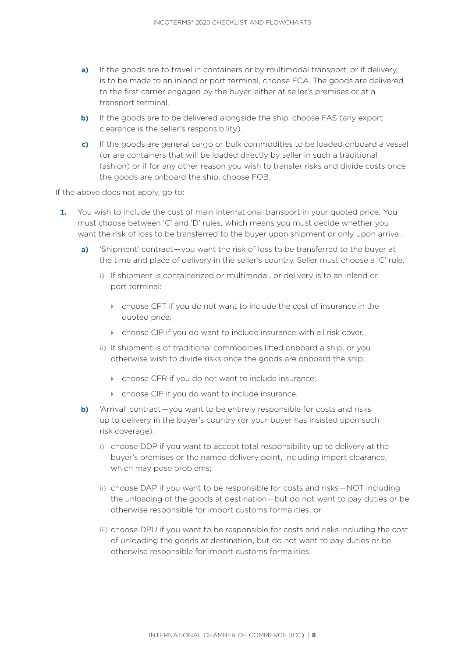- **a)** If the goods are to travel in containers or by multimodal transport, or if delivery is to be made to an inland or port terminal, choose FCA. The goods are delivered to the first carrier engaged by the buyer, either at seller's premises or at a transport terminal.
- **b)** If the goods are to be delivered alongside the ship, choose FAS (any export clearance is the seller's responsibility).
- **c)** If the goods are general cargo or bulk commodities to be loaded onboard a vessel (or are containers that will be loaded directly by seller in such a traditional fashion) or if for any other reason you wish to transfer risks and divide costs once the goods are onboard the ship, choose FOB.

If the above does not apply, go to:

- **1.** You wish to include the cost of main international transport in your quoted price. You must choose between 'C' and 'D' rules, which means you must decide whether you want the risk of loss to be transferred to the buyer upon shipment or only upon arrival.
	- **a)** 'Shipment' contract—you want the risk of loss to be transferred to the buyer at the time and place of delivery in the seller's country. Seller must choose a 'C' rule.
		- i) If shipment is containerized or multimodal, or delivery is to an inland or port terminal:
			- $\triangleright$  choose CPT if you do not want to include the cost of insurance in the quoted price;
			- $\triangleright$  choose CIP if you do want to include insurance with all risk cover.
		- ii) If shipment is of traditional commodities lifted onboard a ship, or you otherwise wish to divide risks once the goods are onboard the ship:
			- $\triangleright$  choose CFR if you do not want to include insurance;
			- $\triangleright$  choose CIF if you do want to include insurance.
	- **b)** 'Arrival' contract—you want to be entirely responsible for costs and risks up to delivery in the buyer's country (or your buyer has insisted upon such risk coverage):
		- i) choose DDP if you want to accept total responsibility up to delivery at the buyer's premises or the named delivery point, including import clearance, which may pose problems;
		- ii) choose DAP if you want to be responsible for costs and risks—NOT including the unloading of the goods at destination — but do not want to pay duties or be otherwise responsible for import customs formalities, or
		- iii) choose DPU if you want to be responsible for costs and risks including the cost of unloading the goods at destination, but do not want to pay duties or be otherwise responsible for import customs formalities.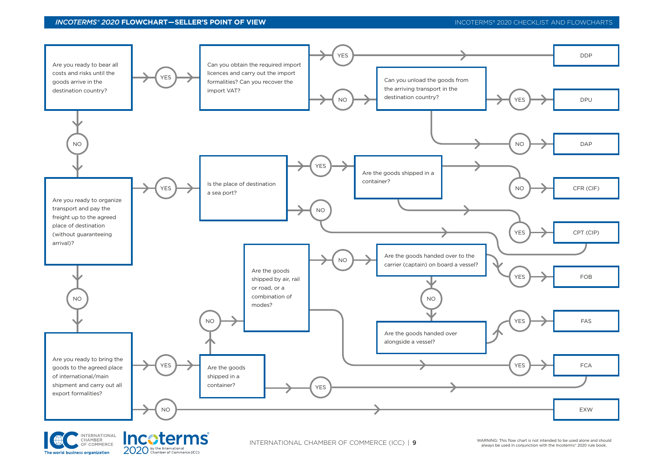#### **INCOTERMS® 2020 FLOWCHART—SELLER'S POINT OF VIEW INCOTERMS® 2020 CHECKLIST AND FLOWCHARTS**

<span id="page-8-0"></span>



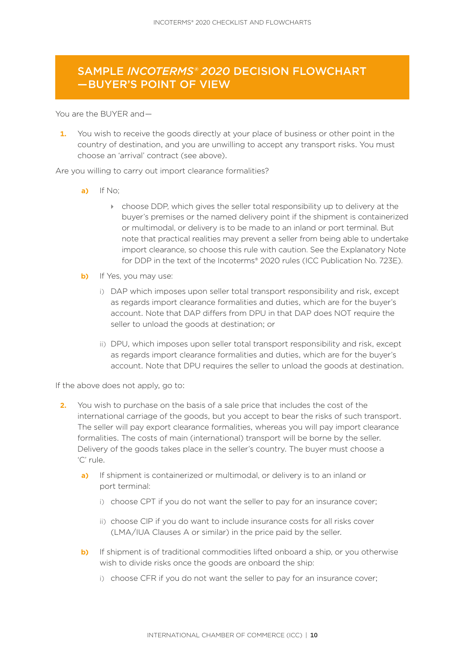## <span id="page-9-0"></span>SAMPLE *INCOTERMS® 2020* DECISION FLOWCHART  — BUYER'S POINT OF VIEW

You are the BUYER and-

**1.** You wish to receive the goods directly at your place of business or other point in the country of destination, and you are unwilling to accept any transport risks. You must choose an 'arrival' contract (see above).

Are you willing to carry out import clearance formalities?

- **a)** If No;
	- $\triangleright$  choose DDP, which gives the seller total responsibility up to delivery at the buyer's premises or the named delivery point if the shipment is containerized or multimodal, or delivery is to be made to an inland or port terminal. But note that practical realities may prevent a seller from being able to undertake import clearance, so choose this rule with caution. See the Explanatory Note for DDP in the text of the Incoterms® 2020 rules (ICC Publication No. 723E).
- **b)** If Yes, you may use:
	- i) DAP which imposes upon seller total transport responsibility and risk, except as regards import clearance formalities and duties, which are for the buyer's account. Note that DAP differs from DPU in that DAP does NOT require the seller to unload the goods at destination; or
	- ii) DPU, which imposes upon seller total transport responsibility and risk, except as regards import clearance formalities and duties, which are for the buyer's account. Note that DPU requires the seller to unload the goods at destination.

If the above does not apply, go to:

- **2.** You wish to purchase on the basis of a sale price that includes the cost of the international carriage of the goods, but you accept to bear the risks of such transport. The seller will pay export clearance formalities, whereas you will pay import clearance formalities. The costs of main (international) transport will be borne by the seller. Delivery of the goods takes place in the seller's country. The buyer must choose a 'C' rule.
	- **a)** If shipment is containerized or multimodal, or delivery is to an inland or port terminal:
		- i) choose CPT if you do not want the seller to pay for an insurance cover;
		- ii) choose CIP if you do want to include insurance costs for all risks cover (LMA/IUA Clauses A or similar) in the price paid by the seller.
	- **b)** If shipment is of traditional commodities lifted onboard a ship, or you otherwise wish to divide risks once the goods are onboard the ship:
		- i) choose CFR if you do not want the seller to pay for an insurance cover;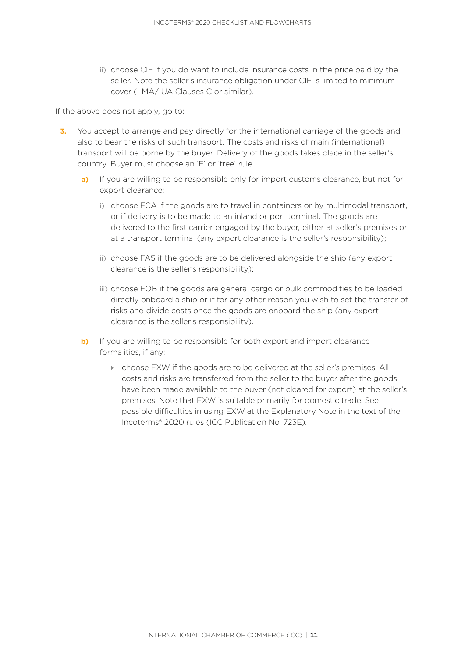ii) choose CIF if you do want to include insurance costs in the price paid by the seller. Note the seller's insurance obligation under CIF is limited to minimum cover (LMA/IUA Clauses C or similar).

If the above does not apply, go to:

- **3.** You accept to arrange and pay directly for the international carriage of the goods and also to bear the risks of such transport. The costs and risks of main (international) transport will be borne by the buyer. Delivery of the goods takes place in the seller's country. Buyer must choose an 'F' or 'free' rule.
	- **a)** If you are willing to be responsible only for import customs clearance, but not for export clearance:
		- i) choose FCA if the goods are to travel in containers or by multimodal transport, or if delivery is to be made to an inland or port terminal. The goods are delivered to the first carrier engaged by the buyer, either at seller's premises or at a transport terminal (any export clearance is the seller's responsibility);
		- ii) choose FAS if the goods are to be delivered alongside the ship (any export clearance is the seller's responsibility);
		- iii) choose FOB if the goods are general cargo or bulk commodities to be loaded directly onboard a ship or if for any other reason you wish to set the transfer of risks and divide costs once the goods are onboard the ship (any export clearance is the seller's responsibility).
	- **b)** If you are willing to be responsible for both export and import clearance formalities, if any:
		- $\triangleright$  choose EXW if the goods are to be delivered at the seller's premises. All costs and risks are transferred from the seller to the buyer after the goods have been made available to the buyer (not cleared for export) at the seller's premises. Note that EXW is suitable primarily for domestic trade. See possible difficulties in using EXW at the Explanatory Note in the text of the Incoterms® 2020 rules (ICC Publication No. 723E).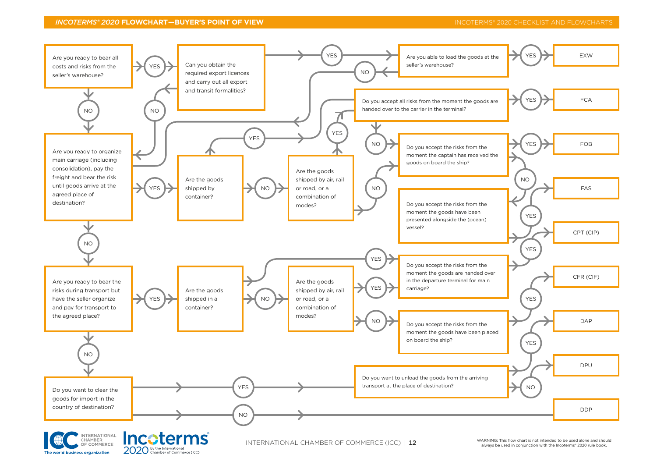CHAMBER<br>OF COMMERCE

The world business organization

2020 by the International

<span id="page-11-0"></span>

WARNING: This flow chart is not intended to be used alone and should<br>always be used in conjunction with the Incoterms® 2020 rule book.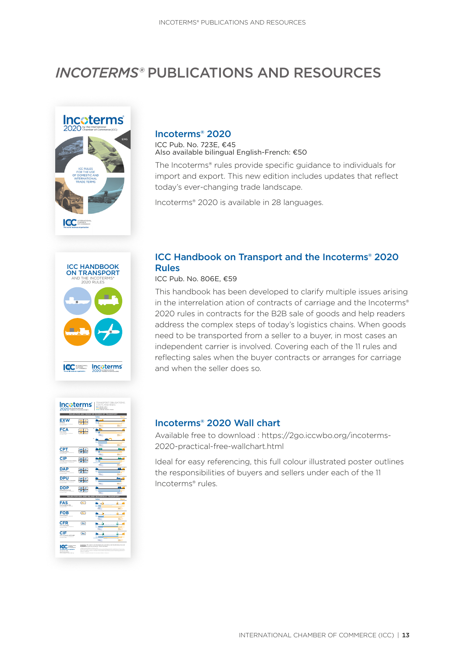# <span id="page-12-0"></span>*INCOTERMS®* PUBLICATIONS AND RESOURCES



## Incoterms® 2020

ICC Pub. No. 723E, €45 Also available bilingual English-French: €50

The Incoterms® rules provide specific guidance to individuals for import and export. This new edition includes updates that reflect today's ever-changing trade landscape.

Incoterms® 2020 is available in 28 languages.



## ICC Handbook on Transport and the Incoterms® 2020 Rules

ICC Pub. No. 806E, €59

This handbook has been developed to clarify multiple issues arising in the interrelation ation of contracts of carriage and the Incoterms® 2020 rules in contracts for the B2B sale of goods and help readers address the complex steps of today's logistics chains. When goods need to be transported from a seller to a buyer, in most cases an independent carrier is involved. Covering each of the 11 rules and reflecting sales when the buyer contracts or arranges for carriage and when the seller does so.

| TRANSPORT OBLIGATIONS.<br>Incoterms<br>OSTS AND RISKS<br>2020 by the President<br>Industry buyer's |     |                                                                                                                                                                                                                                                                                                                                                                                                                                                                            |  |
|----------------------------------------------------------------------------------------------------|-----|----------------------------------------------------------------------------------------------------------------------------------------------------------------------------------------------------------------------------------------------------------------------------------------------------------------------------------------------------------------------------------------------------------------------------------------------------------------------------|--|
| RULES FOR ANY MODE OR MODES OF TRANSPORT<br>Sollen                                                 |     |                                                                                                                                                                                                                                                                                                                                                                                                                                                                            |  |
| <b>EXW</b>                                                                                         |     | <b>best</b>                                                                                                                                                                                                                                                                                                                                                                                                                                                                |  |
| <b>FCA</b>                                                                                         |     | н.<br>$\frac{1}{2} \left( \frac{1}{2} \right)^2$                                                                                                                                                                                                                                                                                                                                                                                                                           |  |
|                                                                                                    |     | $\frac{1}{2} \left( \frac{1}{2} \right) \left( \frac{1}{2} \right) \left( \frac{1}{2} \right) \left( \frac{1}{2} \right) \left( \frac{1}{2} \right) \left( \frac{1}{2} \right) \left( \frac{1}{2} \right) \left( \frac{1}{2} \right) \left( \frac{1}{2} \right) \left( \frac{1}{2} \right) \left( \frac{1}{2} \right) \left( \frac{1}{2} \right) \left( \frac{1}{2} \right) \left( \frac{1}{2} \right) \left( \frac{1}{2} \right) \left( \frac{1}{2} \right) \left( \frac$ |  |
| CPT                                                                                                | 물소  | H                                                                                                                                                                                                                                                                                                                                                                                                                                                                          |  |
| <b>CIP</b>                                                                                         | 풀손  | ٠<br>$\frac{1}{2}$                                                                                                                                                                                                                                                                                                                                                                                                                                                         |  |
| <b>DAP</b>                                                                                         | 물건  | $=$                                                                                                                                                                                                                                                                                                                                                                                                                                                                        |  |
| <b>DPU</b>                                                                                         | 学士  | best.                                                                                                                                                                                                                                                                                                                                                                                                                                                                      |  |
| <b>DDP</b>                                                                                         | 霊之  |                                                                                                                                                                                                                                                                                                                                                                                                                                                                            |  |
| RULES FOR SEA AND INLAND<br><b>WATERWAY TRANSPO</b><br>Soller                                      |     |                                                                                                                                                                                                                                                                                                                                                                                                                                                                            |  |
| FAS                                                                                                | Đ   | п<br>×                                                                                                                                                                                                                                                                                                                                                                                                                                                                     |  |
| FOB                                                                                                | H   |                                                                                                                                                                                                                                                                                                                                                                                                                                                                            |  |
| CFR                                                                                                | ⊝   | $\sim$                                                                                                                                                                                                                                                                                                                                                                                                                                                                     |  |
| CIF<br>of Product                                                                                  | د⊃) |                                                                                                                                                                                                                                                                                                                                                                                                                                                                            |  |
| (e(t                                                                                               |     | to administrative this short is not interested to be used a<br>and meganities that the second company of the company of the company of the company of the company of the company of the company of the company of the company of the company of the company of the company of the company of                                                                                                                                                                               |  |

## Incoterms® 2020 Wall chart

Available free to download : https://[2go.iccwbo.org/incoterms-](https://2go.iccwbo.org/incoterms-2020-practical-free-wallchart.html)[2020-practical-free-wallchart.html](https://2go.iccwbo.org/incoterms-2020-practical-free-wallchart.html)

Ideal for easy referencing, this full colour illustrated poster outlines the responsibilities of buyers and sellers under each of the 11 Incoterms® rules.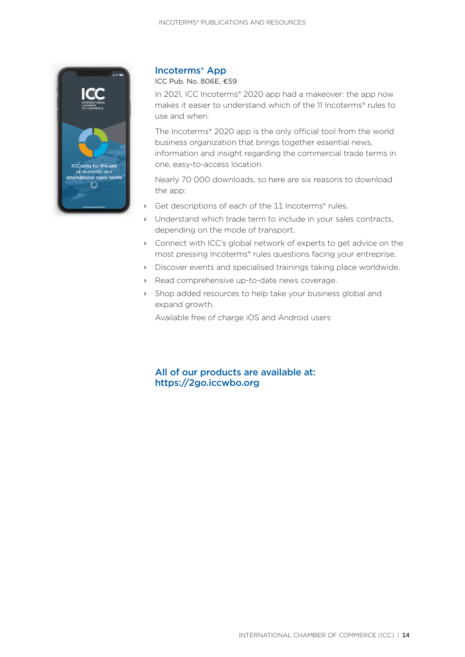

# Incoterms® App

ICC Pub. No. 806E, €59

In 2021, ICC Incoterms® 2020 app had a makeover: the app now makes it easier to understand which of the 11 Incoterms® rules to use and when.

The Incoterms® 2020 app is the only official tool from the world business organization that brings together essential news, information and insight regarding the commercial trade terms in one, easy-to-access location.

Nearly 70 000 downloads, so here are six reasons to download the app:

- ▶ Get descriptions of each of the 11 Incoterms® rules.
- $\triangleright$  Understand which trade term to include in your sales contracts, depending on the mode of transport.
- Connect with ICC's global network of experts to get advice on the most pressing Incoterms® rules questions facing your entreprise.
- $\triangleright$  Discover events and specialised trainings taking place worldwide.
- Read comprehensive up-to-date news coverage.
- **Shop added resources to help take your business global and** expand growth.

Available free of charge iOS and Android users

## All of our products are available at: <https://2go.iccwbo.org>